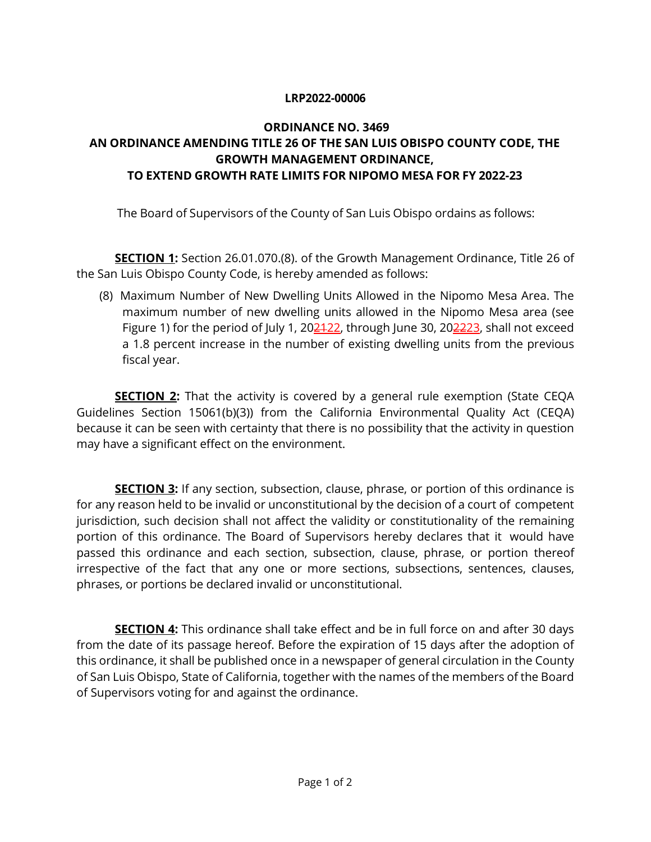## **LRP2022-00006**

## **ORDINANCE NO. 3469 AN ORDINANCE AMENDING TITLE 26 OF THE SAN LUIS OBISPO COUNTY CODE, THE GROWTH MANAGEMENT ORDINANCE, TO EXTEND GROWTH RATE LIMITS FOR NIPOMO MESA FOR FY 2022-23**

The Board of Supervisors of the County of San Luis Obispo ordains as follows:

**SECTION 1:** Section 26.01.070.(8). of the Growth Management Ordinance, Title 26 of the San Luis Obispo County Code, is hereby amended as follows:

(8) Maximum Number of New Dwelling Units Allowed in the Nipomo Mesa Area. The maximum number of new dwelling units allowed in the Nipomo Mesa area (see Figure 1) for the period of July 1, 20 $\frac{2422}{2}$ , through June 30, 20 $\frac{2223}{2}$ , shall not exceed a 1.8 percent increase in the number of existing dwelling units from the previous fiscal year.

**SECTION 2:** That the activity is covered by a general rule exemption (State CEQA Guidelines Section 15061(b)(3)) from the California Environmental Quality Act (CEQA) because it can be seen with certainty that there is no possibility that the activity in question may have a significant effect on the environment.

**SECTION 3:** If any section, subsection, clause, phrase, or portion of this ordinance is for any reason held to be invalid or unconstitutional by the decision of a court of competent jurisdiction, such decision shall not affect the validity or constitutionality of the remaining portion of this ordinance. The Board of Supervisors hereby declares that it would have passed this ordinance and each section, subsection, clause, phrase, or portion thereof irrespective of the fact that any one or more sections, subsections, sentences, clauses, phrases, or portions be declared invalid or unconstitutional.

**SECTION 4:** This ordinance shall take effect and be in full force on and after 30 days from the date of its passage hereof. Before the expiration of 15 days after the adoption of this ordinance, it shall be published once in a newspaper of general circulation in the County of San Luis Obispo, State of California, together with the names of the members of the Board of Supervisors voting for and against the ordinance.